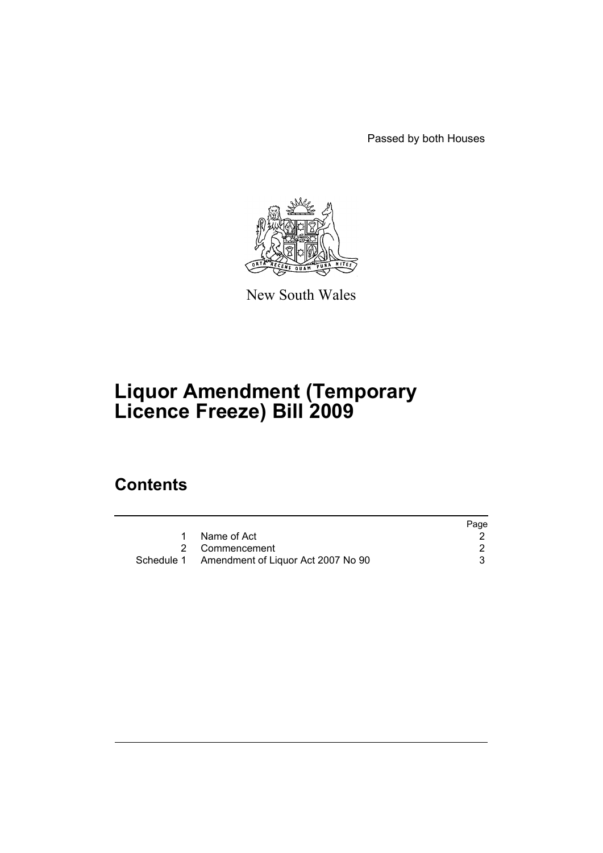Passed by both Houses



New South Wales

# **Liquor Amendment (Temporary Licence Freeze) Bill 2009**

# **Contents**

|                                               | Page |
|-----------------------------------------------|------|
| 1 Name of Act                                 |      |
| 2 Commencement                                |      |
| Schedule 1 Amendment of Liquor Act 2007 No 90 |      |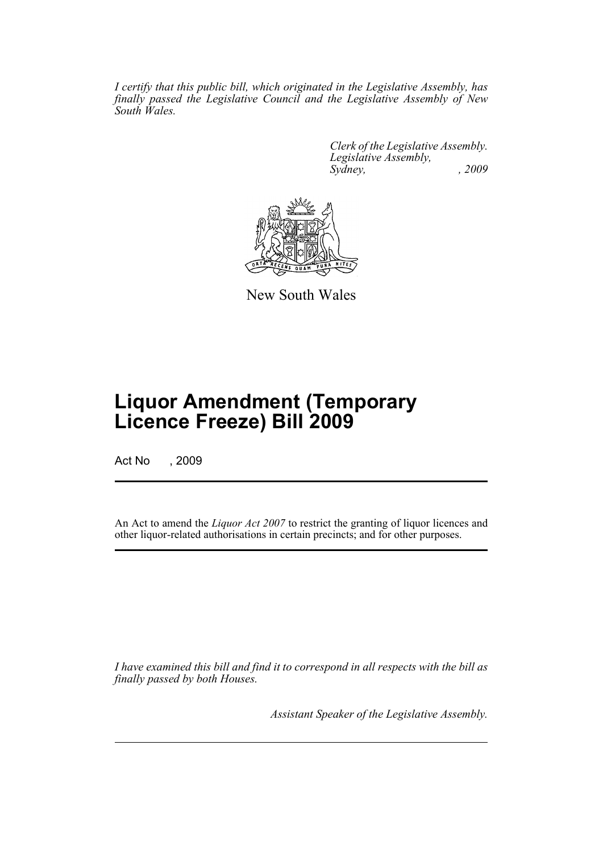*I certify that this public bill, which originated in the Legislative Assembly, has finally passed the Legislative Council and the Legislative Assembly of New South Wales.*

> *Clerk of the Legislative Assembly. Legislative Assembly, Sydney, , 2009*



New South Wales

# **Liquor Amendment (Temporary Licence Freeze) Bill 2009**

Act No , 2009

An Act to amend the *Liquor Act 2007* to restrict the granting of liquor licences and other liquor-related authorisations in certain precincts; and for other purposes.

*I have examined this bill and find it to correspond in all respects with the bill as finally passed by both Houses.*

*Assistant Speaker of the Legislative Assembly.*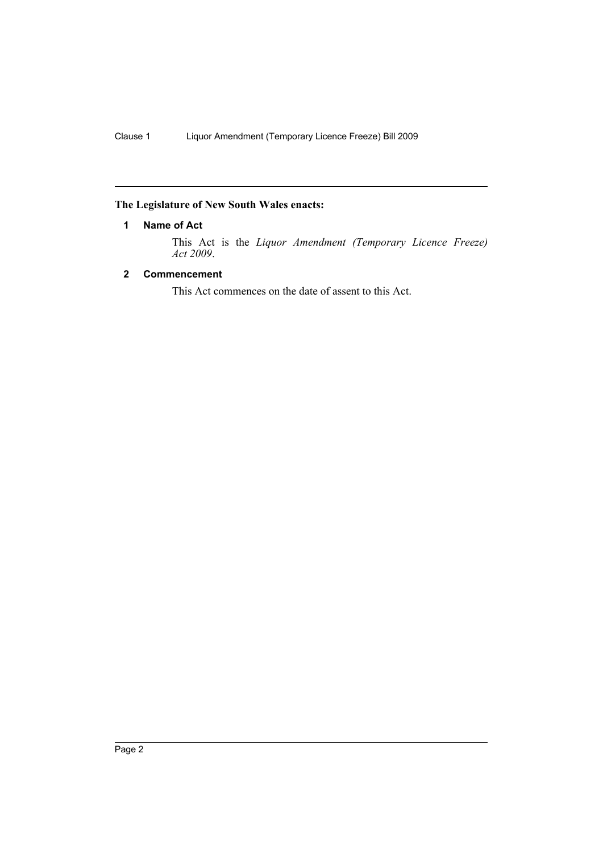# <span id="page-2-0"></span>**The Legislature of New South Wales enacts:**

# **1 Name of Act**

This Act is the *Liquor Amendment (Temporary Licence Freeze) Act 2009*.

# <span id="page-2-1"></span>**2 Commencement**

This Act commences on the date of assent to this Act.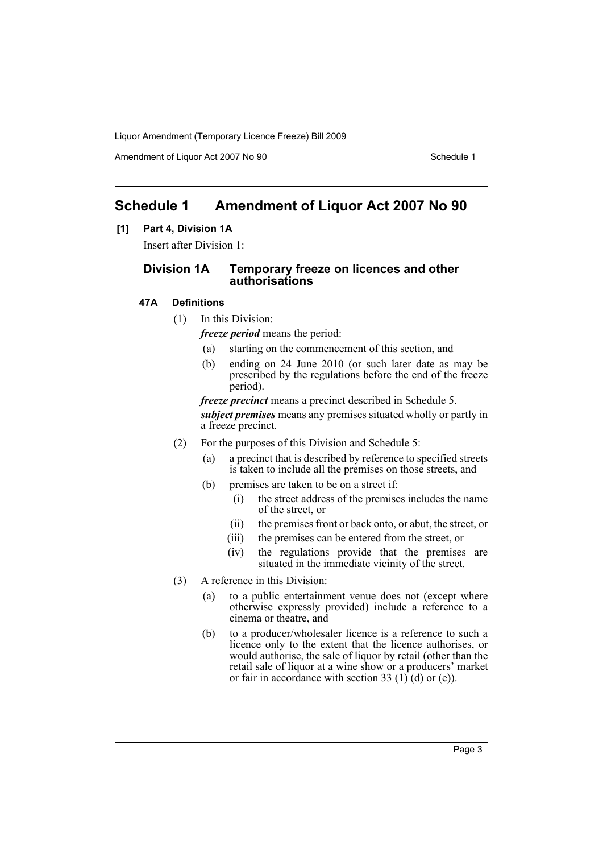Amendment of Liquor Act 2007 No 90 Schedule 1

# <span id="page-3-0"></span>**Schedule 1 Amendment of Liquor Act 2007 No 90**

# **[1] Part 4, Division 1A**

Insert after Division 1:

# **Division 1A Temporary freeze on licences and other authorisations**

## **47A Definitions**

- (1) In this Division:
	- *freeze period* means the period:
	- (a) starting on the commencement of this section, and
	- (b) ending on 24 June 2010 (or such later date as may be prescribed by the regulations before the end of the freeze period).

*freeze precinct* means a precinct described in Schedule 5. *subject premises* means any premises situated wholly or partly in a freeze precinct.

- (2) For the purposes of this Division and Schedule 5:
	- (a) a precinct that is described by reference to specified streets is taken to include all the premises on those streets, and
	- (b) premises are taken to be on a street if:
		- (i) the street address of the premises includes the name of the street, or
		- (ii) the premises front or back onto, or abut, the street, or
		- (iii) the premises can be entered from the street, or
		- (iv) the regulations provide that the premises are situated in the immediate vicinity of the street.
- (3) A reference in this Division:
	- (a) to a public entertainment venue does not (except where otherwise expressly provided) include a reference to a cinema or theatre, and
	- (b) to a producer/wholesaler licence is a reference to such a licence only to the extent that the licence authorises, or would authorise, the sale of liquor by retail (other than the retail sale of liquor at a wine show or a producers' market or fair in accordance with section 33 (1) (d) or (e)).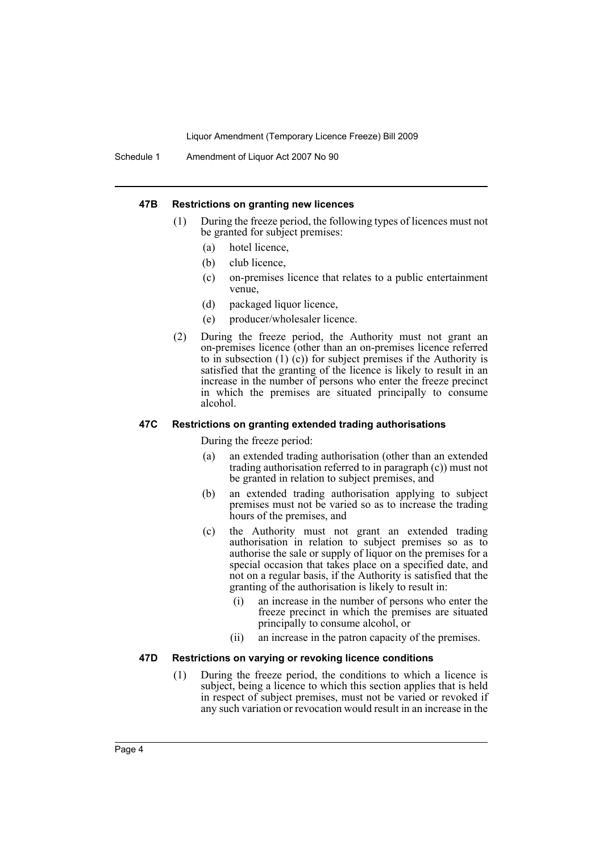Schedule 1 Amendment of Liquor Act 2007 No 90

#### **47B Restrictions on granting new licences**

- (1) During the freeze period, the following types of licences must not be granted for subject premises:
	- (a) hotel licence,
	- (b) club licence,
	- (c) on-premises licence that relates to a public entertainment venue,
	- (d) packaged liquor licence,
	- (e) producer/wholesaler licence.
- (2) During the freeze period, the Authority must not grant an on-premises licence (other than an on-premises licence referred to in subsection (1) (c)) for subject premises if the Authority is satisfied that the granting of the licence is likely to result in an increase in the number of persons who enter the freeze precinct in which the premises are situated principally to consume alcohol.

#### **47C Restrictions on granting extended trading authorisations**

During the freeze period:

- (a) an extended trading authorisation (other than an extended trading authorisation referred to in paragraph (c)) must not be granted in relation to subject premises, and
- (b) an extended trading authorisation applying to subject premises must not be varied so as to increase the trading hours of the premises, and
- (c) the Authority must not grant an extended trading authorisation in relation to subject premises so as to authorise the sale or supply of liquor on the premises for a special occasion that takes place on a specified date, and not on a regular basis, if the Authority is satisfied that the granting of the authorisation is likely to result in:
	- (i) an increase in the number of persons who enter the freeze precinct in which the premises are situated principally to consume alcohol, or
	- (ii) an increase in the patron capacity of the premises.

#### **47D Restrictions on varying or revoking licence conditions**

(1) During the freeze period, the conditions to which a licence is subject, being a licence to which this section applies that is held in respect of subject premises, must not be varied or revoked if any such variation or revocation would result in an increase in the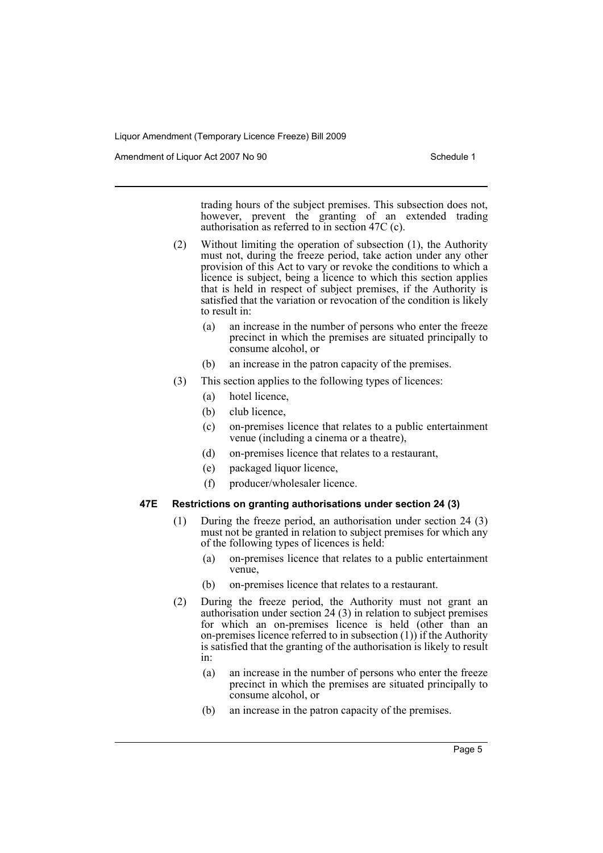Amendment of Liquor Act 2007 No 90 Schedule 1

trading hours of the subject premises. This subsection does not, however, prevent the granting of an extended trading authorisation as referred to in section 47C (c).

- (2) Without limiting the operation of subsection (1), the Authority must not, during the freeze period, take action under any other provision of this Act to vary or revoke the conditions to which a licence is subject, being a licence to which this section applies that is held in respect of subject premises, if the Authority is satisfied that the variation or revocation of the condition is likely to result in:
	- (a) an increase in the number of persons who enter the freeze precinct in which the premises are situated principally to consume alcohol, or
	- (b) an increase in the patron capacity of the premises.
- (3) This section applies to the following types of licences:
	- (a) hotel licence,
	- (b) club licence,
	- (c) on-premises licence that relates to a public entertainment venue (including a cinema or a theatre),
	- (d) on-premises licence that relates to a restaurant,
	- (e) packaged liquor licence,
	- (f) producer/wholesaler licence.

### **47E Restrictions on granting authorisations under section 24 (3)**

- (1) During the freeze period, an authorisation under section 24 (3) must not be granted in relation to subject premises for which any of the following types of licences is held:
	- (a) on-premises licence that relates to a public entertainment venue,
	- (b) on-premises licence that relates to a restaurant.
- (2) During the freeze period, the Authority must not grant an authorisation under section 24 (3) in relation to subject premises for which an on-premises licence is held (other than an on-premises licence referred to in subsection (1)) if the Authority is satisfied that the granting of the authorisation is likely to result in:
	- (a) an increase in the number of persons who enter the freeze precinct in which the premises are situated principally to consume alcohol, or
	- (b) an increase in the patron capacity of the premises.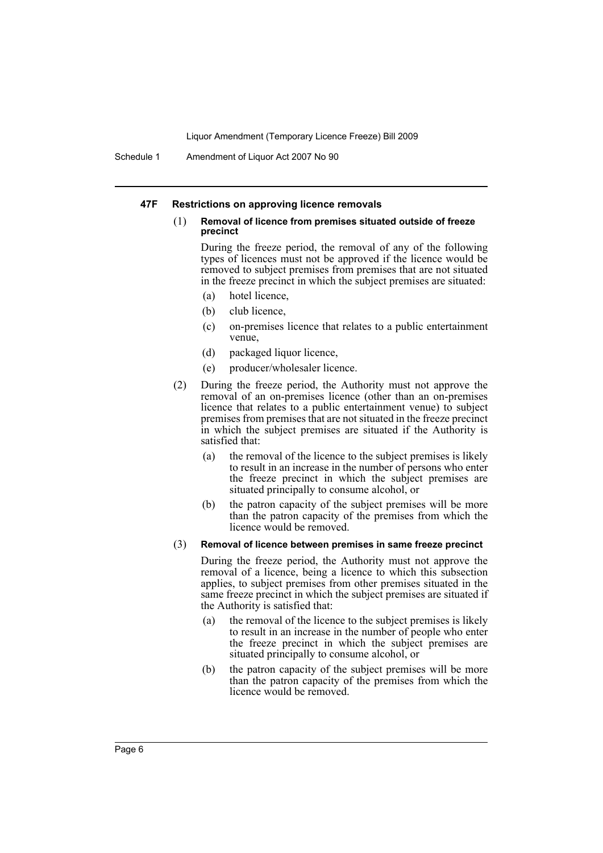Schedule 1 Amendment of Liquor Act 2007 No 90

#### **47F Restrictions on approving licence removals**

#### (1) **Removal of licence from premises situated outside of freeze precinct**

During the freeze period, the removal of any of the following types of licences must not be approved if the licence would be removed to subject premises from premises that are not situated in the freeze precinct in which the subject premises are situated:

- (a) hotel licence,
- (b) club licence,
- (c) on-premises licence that relates to a public entertainment venue,
- (d) packaged liquor licence,
- (e) producer/wholesaler licence.
- (2) During the freeze period, the Authority must not approve the removal of an on-premises licence (other than an on-premises licence that relates to a public entertainment venue) to subject premises from premises that are not situated in the freeze precinct in which the subject premises are situated if the Authority is satisfied that:
	- (a) the removal of the licence to the subject premises is likely to result in an increase in the number of persons who enter the freeze precinct in which the subject premises are situated principally to consume alcohol, or
	- (b) the patron capacity of the subject premises will be more than the patron capacity of the premises from which the licence would be removed.

#### (3) **Removal of licence between premises in same freeze precinct**

During the freeze period, the Authority must not approve the removal of a licence, being a licence to which this subsection applies, to subject premises from other premises situated in the same freeze precinct in which the subject premises are situated if the Authority is satisfied that:

- (a) the removal of the licence to the subject premises is likely to result in an increase in the number of people who enter the freeze precinct in which the subject premises are situated principally to consume alcohol, or
- (b) the patron capacity of the subject premises will be more than the patron capacity of the premises from which the licence would be removed.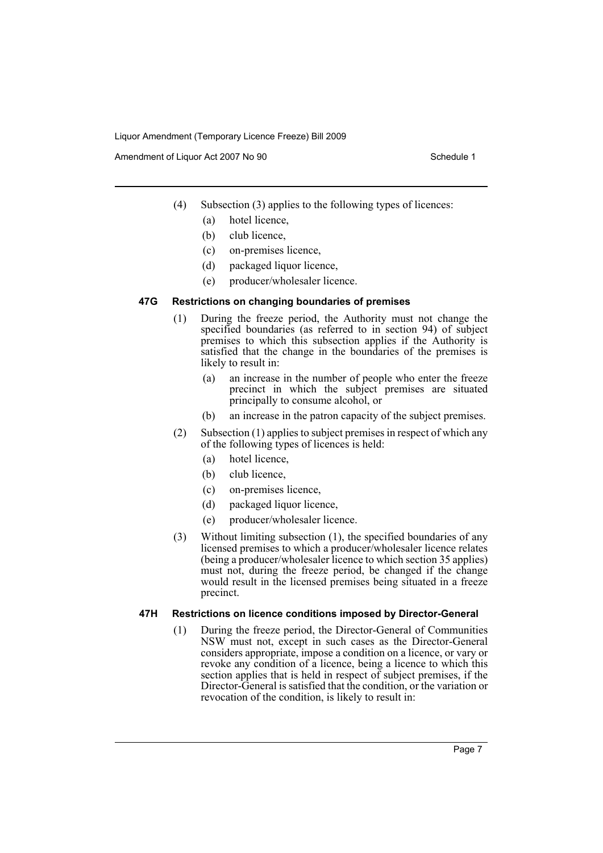Amendment of Liquor Act 2007 No 90 Schedule 1

- (4) Subsection (3) applies to the following types of licences:
	- (a) hotel licence,
	- (b) club licence,
	- (c) on-premises licence,
	- (d) packaged liquor licence,
	- (e) producer/wholesaler licence.

## **47G Restrictions on changing boundaries of premises**

- (1) During the freeze period, the Authority must not change the specified boundaries (as referred to in section 94) of subject premises to which this subsection applies if the Authority is satisfied that the change in the boundaries of the premises is likely to result in:
	- (a) an increase in the number of people who enter the freeze precinct in which the subject premises are situated principally to consume alcohol, or
	- (b) an increase in the patron capacity of the subject premises.
- (2) Subsection (1) applies to subject premises in respect of which any of the following types of licences is held:
	- (a) hotel licence,
	- (b) club licence,
	- (c) on-premises licence,
	- (d) packaged liquor licence,
	- (e) producer/wholesaler licence.
- (3) Without limiting subsection (1), the specified boundaries of any licensed premises to which a producer/wholesaler licence relates (being a producer/wholesaler licence to which section 35 applies) must not, during the freeze period, be changed if the change would result in the licensed premises being situated in a freeze precinct.

# **47H Restrictions on licence conditions imposed by Director-General**

(1) During the freeze period, the Director-General of Communities NSW must not, except in such cases as the Director-General considers appropriate, impose a condition on a licence, or vary or revoke any condition of a licence, being a licence to which this section applies that is held in respect of subject premises, if the Director-General is satisfied that the condition, or the variation or revocation of the condition, is likely to result in: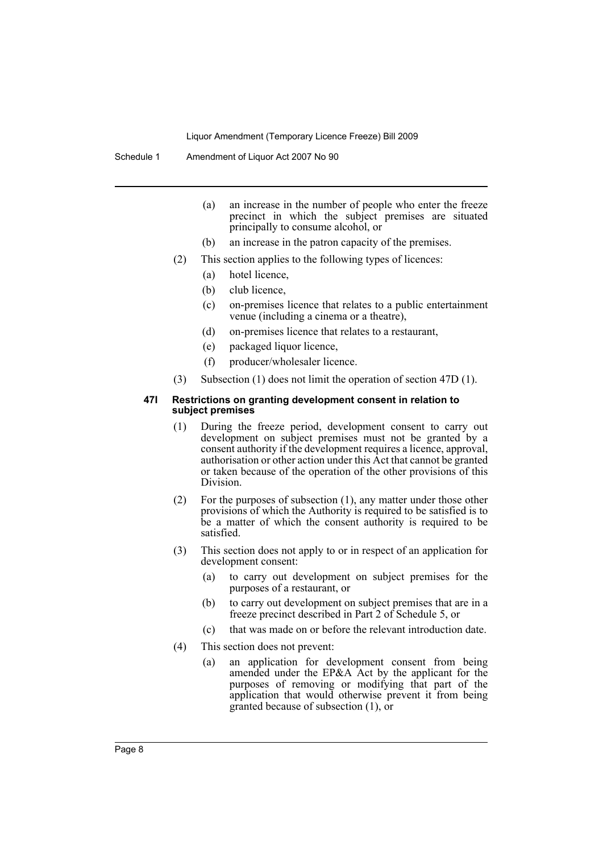Schedule 1 Amendment of Liquor Act 2007 No 90

- (a) an increase in the number of people who enter the freeze precinct in which the subject premises are situated principally to consume alcohol, or
- (b) an increase in the patron capacity of the premises.
- (2) This section applies to the following types of licences:
	- (a) hotel licence,
	- (b) club licence,
	- (c) on-premises licence that relates to a public entertainment venue (including a cinema or a theatre),
	- (d) on-premises licence that relates to a restaurant,
	- (e) packaged liquor licence,
	- (f) producer/wholesaler licence.
- (3) Subsection (1) does not limit the operation of section 47D (1).

#### **47I Restrictions on granting development consent in relation to subject premises**

- (1) During the freeze period, development consent to carry out development on subject premises must not be granted by a consent authority if the development requires a licence, approval, authorisation or other action under this Act that cannot be granted or taken because of the operation of the other provisions of this Division.
- (2) For the purposes of subsection (1), any matter under those other provisions of which the Authority is required to be satisfied is to be a matter of which the consent authority is required to be satisfied.
- (3) This section does not apply to or in respect of an application for development consent:
	- (a) to carry out development on subject premises for the purposes of a restaurant, or
	- (b) to carry out development on subject premises that are in a freeze precinct described in Part 2 of Schedule 5, or
	- (c) that was made on or before the relevant introduction date.
- (4) This section does not prevent:
	- (a) an application for development consent from being amended under the EP&A Act by the applicant for the purposes of removing or modifying that part of the application that would otherwise prevent it from being granted because of subsection (1), or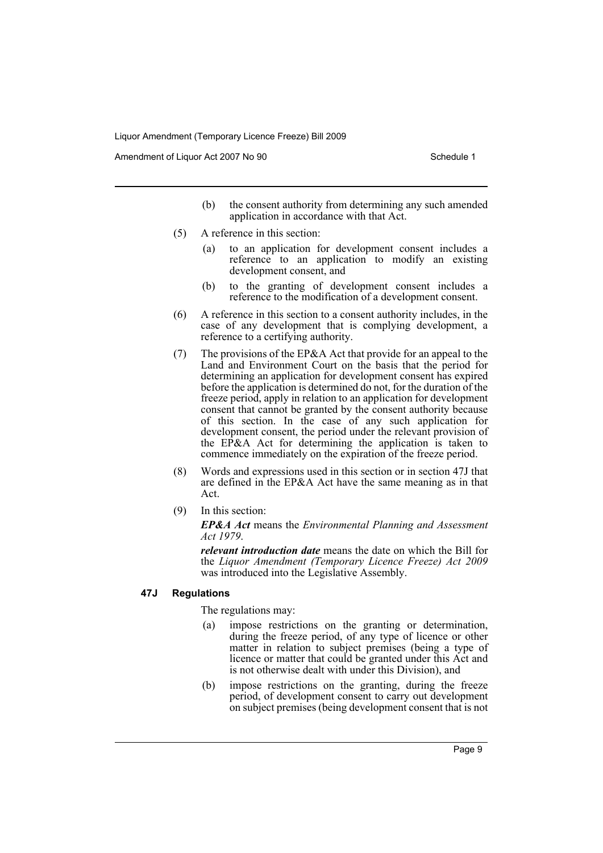Amendment of Liquor Act 2007 No 90 Schedule 1

- (b) the consent authority from determining any such amended application in accordance with that Act.
- (5) A reference in this section:
	- (a) to an application for development consent includes a reference to an application to modify an existing development consent, and
	- (b) to the granting of development consent includes a reference to the modification of a development consent.
- (6) A reference in this section to a consent authority includes, in the case of any development that is complying development, a reference to a certifying authority.
- (7) The provisions of the EP&A Act that provide for an appeal to the Land and Environment Court on the basis that the period for determining an application for development consent has expired before the application is determined do not, for the duration of the freeze period, apply in relation to an application for development consent that cannot be granted by the consent authority because of this section. In the case of any such application for development consent, the period under the relevant provision of the EP&A Act for determining the application is taken to commence immediately on the expiration of the freeze period.
- (8) Words and expressions used in this section or in section 47J that are defined in the EP&A Act have the same meaning as in that Act.
- (9) In this section:

*EP&A Act* means the *Environmental Planning and Assessment Act 1979*.

*relevant introduction date* means the date on which the Bill for the *Liquor Amendment (Temporary Licence Freeze) Act 2009* was introduced into the Legislative Assembly.

# **47J Regulations**

The regulations may:

- (a) impose restrictions on the granting or determination, during the freeze period, of any type of licence or other matter in relation to subject premises (being a type of licence or matter that could be granted under this Act and is not otherwise dealt with under this Division), and
- (b) impose restrictions on the granting, during the freeze period, of development consent to carry out development on subject premises (being development consent that is not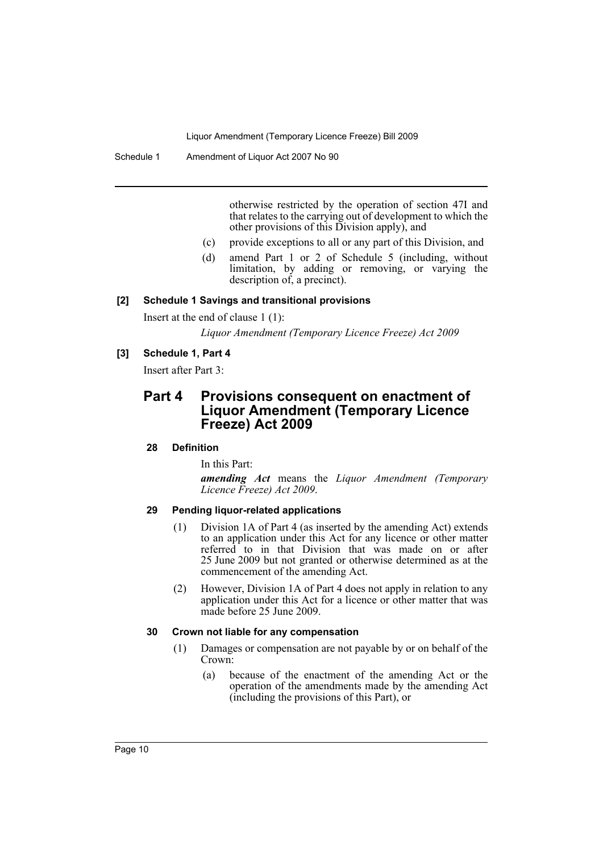Schedule 1 Amendment of Liquor Act 2007 No 90

otherwise restricted by the operation of section 47I and that relates to the carrying out of development to which the other provisions of this Division apply), and

- (c) provide exceptions to all or any part of this Division, and
- (d) amend Part 1 or 2 of Schedule 5 (including, without limitation, by adding or removing, or varying the description of, a precinct).

### **[2] Schedule 1 Savings and transitional provisions**

Insert at the end of clause 1 (1):

*Liquor Amendment (Temporary Licence Freeze) Act 2009*

# **[3] Schedule 1, Part 4**

Insert after Part 3:

# **Part 4 Provisions consequent on enactment of Liquor Amendment (Temporary Licence Freeze) Act 2009**

#### **28 Definition**

In this Part:

*amending Act* means the *Liquor Amendment (Temporary Licence Freeze) Act 2009*.

## **29 Pending liquor-related applications**

- (1) Division 1A of Part 4 (as inserted by the amending Act) extends to an application under this Act for any licence or other matter referred to in that Division that was made on or after 25 June 2009 but not granted or otherwise determined as at the commencement of the amending Act.
- (2) However, Division 1A of Part 4 does not apply in relation to any application under this Act for a licence or other matter that was made before 25 June 2009.

### **30 Crown not liable for any compensation**

- (1) Damages or compensation are not payable by or on behalf of the Crown:
	- (a) because of the enactment of the amending Act or the operation of the amendments made by the amending Act (including the provisions of this Part), or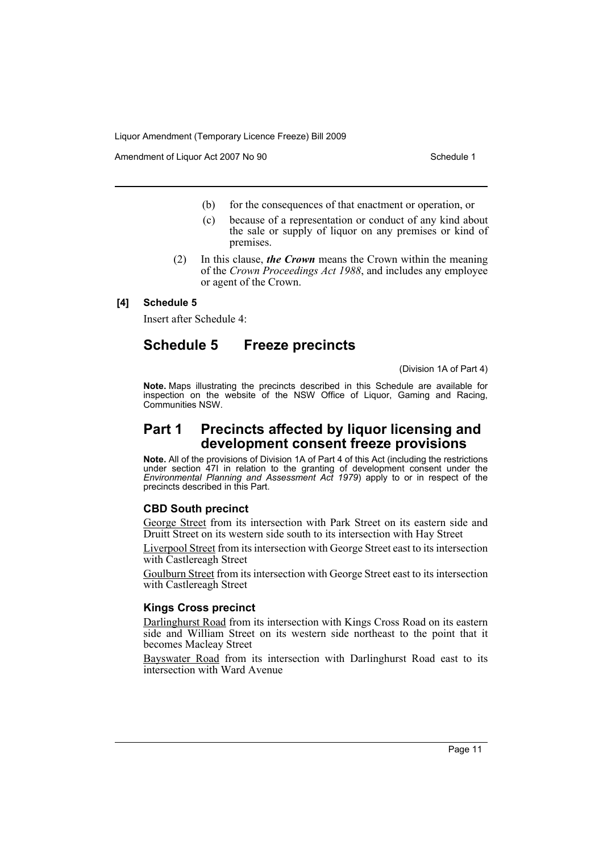Amendment of Liquor Act 2007 No 90 Schedule 1

- (b) for the consequences of that enactment or operation, or
- (c) because of a representation or conduct of any kind about the sale or supply of liquor on any premises or kind of premises.
- (2) In this clause, *the Crown* means the Crown within the meaning of the *Crown Proceedings Act 1988*, and includes any employee or agent of the Crown.

## **[4] Schedule 5**

Insert after Schedule 4:

# **Schedule 5 Freeze precincts**

(Division 1A of Part 4)

**Note.** Maps illustrating the precincts described in this Schedule are available for inspection on the website of the NSW Office of Liquor, Gaming and Racing, Communities NSW.

# **Part 1 Precincts affected by liquor licensing and development consent freeze provisions**

**Note.** All of the provisions of Division 1A of Part 4 of this Act (including the restrictions under section 47I in relation to the granting of development consent under the *Environmental Planning and Assessment Act 1979*) apply to or in respect of the precincts described in this Part.

# **CBD South precinct**

George Street from its intersection with Park Street on its eastern side and Druitt Street on its western side south to its intersection with Hay Street

Liverpool Street from its intersection with George Street east to its intersection with Castlereagh Street

Goulburn Street from its intersection with George Street east to its intersection with Castlereagh Street

#### **Kings Cross precinct**

Darlinghurst Road from its intersection with Kings Cross Road on its eastern side and William Street on its western side northeast to the point that it becomes Macleay Street

Bayswater Road from its intersection with Darlinghurst Road east to its intersection with Ward Avenue